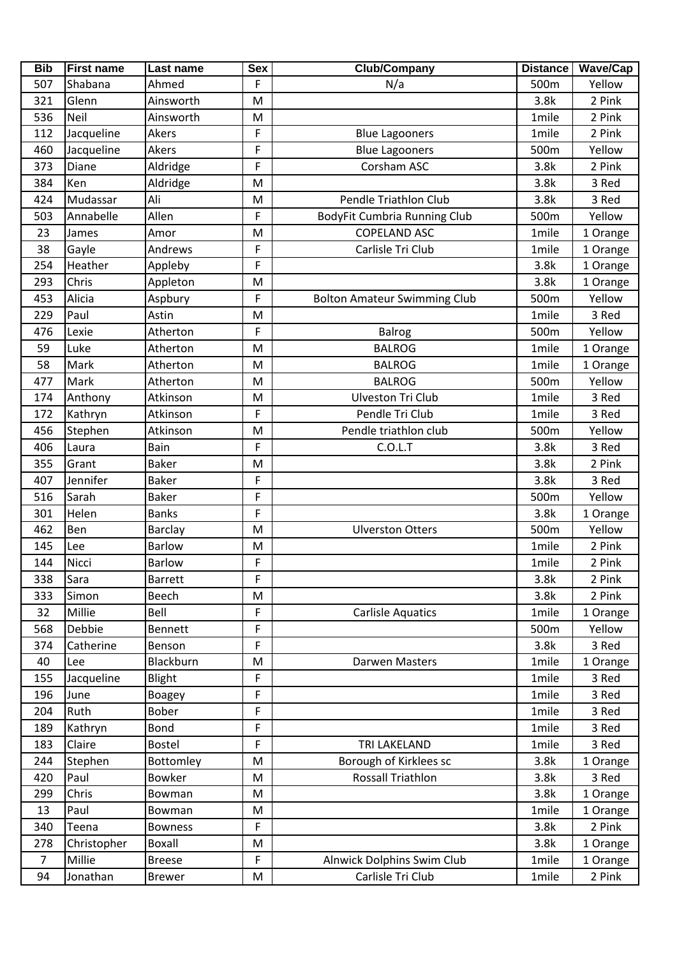| <b>Bib</b> | <b>First name</b> | Last name      | <b>Sex</b> | <b>Club/Company</b>                 | <b>Distance</b> | <b>Wave/Cap</b> |
|------------|-------------------|----------------|------------|-------------------------------------|-----------------|-----------------|
| 507        | Shabana           | Ahmed          | F          | N/a                                 | 500m            | Yellow          |
| 321        | Glenn             | Ainsworth      | M          |                                     | 3.8k            | 2 Pink          |
| 536        | <b>Neil</b>       | Ainsworth      | M          |                                     | 1mile           | 2 Pink          |
| 112        | Jacqueline        | Akers          | F          | <b>Blue Lagooners</b>               | 1mile           | 2 Pink          |
| 460        | Jacqueline        | Akers          | F          | <b>Blue Lagooners</b>               | 500m            | Yellow          |
| 373        | Diane             | Aldridge       | F          | Corsham ASC                         | 3.8k            | 2 Pink          |
| 384        | Ken               | Aldridge       | M          |                                     | 3.8k            | 3 Red           |
| 424        | Mudassar          | Ali            | M          | Pendle Triathlon Club               | 3.8k            | 3 Red           |
| 503        | Annabelle         | Allen          | F          | <b>BodyFit Cumbria Running Club</b> | 500m            | Yellow          |
| 23         | James             | Amor           | M          | <b>COPELAND ASC</b>                 | 1mile           | 1 Orange        |
| 38         | Gayle             | Andrews        | F          | Carlisle Tri Club                   | 1mile           | 1 Orange        |
| 254        | Heather           | Appleby        | F          |                                     | 3.8k            | 1 Orange        |
| 293        | Chris             | Appleton       | M          |                                     | 3.8k            | 1 Orange        |
| 453        | Alicia            | Aspbury        | F          | <b>Bolton Amateur Swimming Club</b> | 500m            | Yellow          |
| 229        | Paul              | Astin          | M          |                                     | 1mile           | 3 Red           |
| 476        | Lexie             | Atherton       | F          | <b>Balrog</b>                       | 500m            | Yellow          |
| 59         | Luke              | Atherton       | M          | <b>BALROG</b>                       | 1mile           | 1 Orange        |
| 58         | Mark              | Atherton       | M          | <b>BALROG</b>                       | 1mile           | 1 Orange        |
| 477        | Mark              | Atherton       | M          | <b>BALROG</b>                       | 500m            | Yellow          |
| 174        | Anthony           | Atkinson       | M          | <b>Ulveston Tri Club</b>            | 1mile           | 3 Red           |
| 172        | Kathryn           | Atkinson       | F          | Pendle Tri Club                     | 1mile           | 3 Red           |
| 456        | Stephen           | Atkinson       | M          | Pendle triathlon club               | 500m            | Yellow          |
| 406        | Laura             | Bain           | F          | C.O.L.T                             | 3.8k            | 3 Red           |
| 355        | Grant             | <b>Baker</b>   | M          |                                     | 3.8k            | 2 Pink          |
| 407        | Jennifer          | <b>Baker</b>   | F          |                                     | 3.8k            | 3 Red           |
| 516        | Sarah             | <b>Baker</b>   | F          |                                     | 500m            | Yellow          |
| 301        | Helen             | <b>Banks</b>   | F          |                                     | 3.8k            | 1 Orange        |
| 462        | Ben               | <b>Barclay</b> | M          | <b>Ulverston Otters</b>             | 500m            | Yellow          |
| 145        | Lee               | <b>Barlow</b>  | M          |                                     | 1mile           | 2 Pink          |
| 144        | Nicci             | <b>Barlow</b>  | F          |                                     | 1mile           | 2 Pink          |
| 338        | Sara              | <b>Barrett</b> | F          |                                     | 3.8k            | 2 Pink          |
| 333        | Simon             | <b>Beech</b>   | M          |                                     | 3.8k            | 2 Pink          |
| 32         | Millie            | Bell           | F          | <b>Carlisle Aquatics</b>            | 1mile           | 1 Orange        |
| 568        | Debbie            | <b>Bennett</b> | F          |                                     | 500m            | Yellow          |
| 374        | Catherine         | Benson         | F          |                                     | 3.8k            | 3 Red           |
| 40         | Lee               | Blackburn      | M          | Darwen Masters                      | 1mile           | 1 Orange        |
| 155        | Jacqueline        | Blight         | F          |                                     | 1mile           | 3 Red           |
| 196        | June              | <b>Boagey</b>  | F          |                                     | 1mile           | 3 Red           |
| 204        | Ruth              | <b>Bober</b>   | F          |                                     | 1mile           | 3 Red           |
| 189        | Kathryn           | Bond           | F          |                                     | 1mile           | 3 Red           |
| 183        | Claire            | <b>Bostel</b>  | F          | TRI LAKELAND                        | 1mile           | 3 Red           |
| 244        | Stephen           | Bottomley      | M          | Borough of Kirklees sc              | 3.8k            | 1 Orange        |
| 420        | Paul              | <b>Bowker</b>  | M          | Rossall Triathlon                   | 3.8k            | 3 Red           |
| 299        | Chris             | Bowman         | M          |                                     | 3.8k            | 1 Orange        |
| 13         | Paul              | Bowman         | M          |                                     | 1mile           | 1 Orange        |
| 340        | Teena             | <b>Bowness</b> | F          |                                     | 3.8k            | 2 Pink          |
| 278        | Christopher       | Boxall         | M          |                                     | 3.8k            | 1 Orange        |
| 7          | Millie            | <b>Breese</b>  | F          | Alnwick Dolphins Swim Club          | 1mile           | 1 Orange        |
| 94         | Jonathan          | <b>Brewer</b>  | M          | Carlisle Tri Club                   | 1mile           | 2 Pink          |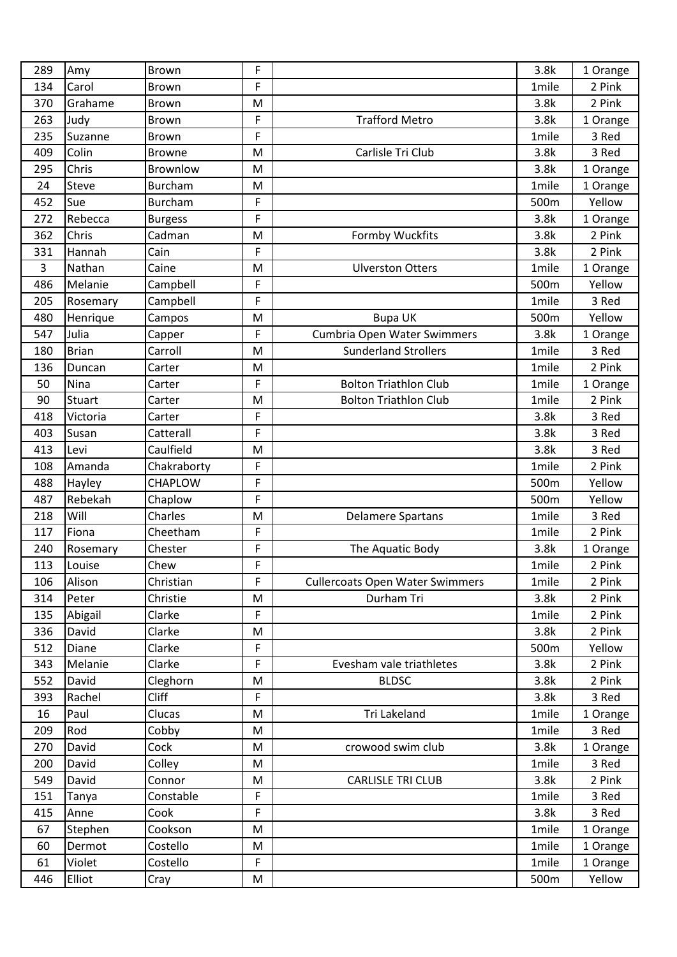| 289 | Amy          | <b>Brown</b>   | F |                                        | 3.8k  | 1 Orange |
|-----|--------------|----------------|---|----------------------------------------|-------|----------|
| 134 | Carol        | <b>Brown</b>   | F |                                        | 1mile | 2 Pink   |
| 370 | Grahame      | <b>Brown</b>   | M |                                        | 3.8k  | 2 Pink   |
| 263 | Judy         | <b>Brown</b>   | F | <b>Trafford Metro</b>                  | 3.8k  | 1 Orange |
| 235 | Suzanne      | <b>Brown</b>   | F |                                        | 1mile | 3 Red    |
| 409 | Colin        | <b>Browne</b>  | M | Carlisle Tri Club                      | 3.8k  | 3 Red    |
| 295 | Chris        | Brownlow       | M |                                        | 3.8k  | 1 Orange |
| 24  | Steve        | <b>Burcham</b> | M |                                        | 1mile | 1 Orange |
| 452 | Sue          | <b>Burcham</b> | F |                                        | 500m  | Yellow   |
| 272 | Rebecca      | <b>Burgess</b> | F |                                        | 3.8k  | 1 Orange |
| 362 | Chris        | Cadman         | M | Formby Wuckfits                        | 3.8k  | 2 Pink   |
| 331 | Hannah       | Cain           | F |                                        | 3.8k  | 2 Pink   |
| 3   | Nathan       | Caine          | M | <b>Ulverston Otters</b>                | 1mile | 1 Orange |
| 486 | Melanie      | Campbell       | F |                                        | 500m  | Yellow   |
| 205 | Rosemary     | Campbell       | F |                                        | 1mile | 3 Red    |
| 480 | Henrique     | Campos         | M | <b>Bupa UK</b>                         | 500m  | Yellow   |
| 547 | Julia        | Capper         | F | Cumbria Open Water Swimmers            | 3.8k  | 1 Orange |
| 180 | <b>Brian</b> | Carroll        | M | <b>Sunderland Strollers</b>            | 1mile | 3 Red    |
| 136 | Duncan       | Carter         | M |                                        | 1mile | 2 Pink   |
| 50  | Nina         | Carter         | F | <b>Bolton Triathlon Club</b>           | 1mile | 1 Orange |
| 90  | Stuart       | Carter         | M | <b>Bolton Triathlon Club</b>           | 1mile | 2 Pink   |
| 418 | Victoria     | Carter         | F |                                        | 3.8k  | 3 Red    |
| 403 | Susan        | Catterall      | F |                                        | 3.8k  | 3 Red    |
| 413 | Levi         | Caulfield      | M |                                        | 3.8k  | 3 Red    |
| 108 | Amanda       | Chakraborty    | F |                                        | 1mile | 2 Pink   |
| 488 | Hayley       | CHAPLOW        | F |                                        | 500m  | Yellow   |
| 487 | Rebekah      | Chaplow        | F |                                        | 500m  | Yellow   |
| 218 | Will         | Charles        | M | <b>Delamere Spartans</b>               | 1mile | 3 Red    |
| 117 | Fiona        | Cheetham       | F |                                        | 1mile | 2 Pink   |
| 240 | Rosemary     | Chester        | F | The Aquatic Body                       | 3.8k  | 1 Orange |
| 113 | Louise       | Chew           | F |                                        | 1mile | 2 Pink   |
| 106 | Alison       | Christian      | F | <b>Cullercoats Open Water Swimmers</b> | 1mile | 2 Pink   |
| 314 | Peter        | Christie       | M | Durham Tri                             | 3.8k  | 2 Pink   |
| 135 | Abigail      | Clarke         | F |                                        | 1mile | 2 Pink   |
| 336 | David        | Clarke         | M |                                        | 3.8k  | 2 Pink   |
| 512 | Diane        | Clarke         | F |                                        | 500m  | Yellow   |
| 343 | Melanie      | Clarke         | F | Evesham vale triathletes               | 3.8k  | 2 Pink   |
| 552 | David        | Cleghorn       | M | <b>BLDSC</b>                           | 3.8k  | 2 Pink   |
| 393 | Rachel       | <b>Cliff</b>   | F |                                        | 3.8k  | 3 Red    |
| 16  | Paul         | Clucas         | M | Tri Lakeland                           | 1mile | 1 Orange |
| 209 | Rod          | Cobby          | M |                                        | 1mile | 3 Red    |
| 270 | David        | Cock           | M | crowood swim club                      | 3.8k  | 1 Orange |
| 200 | David        | Colley         | M |                                        | 1mile | 3 Red    |
| 549 | David        | Connor         | M | <b>CARLISLE TRI CLUB</b>               | 3.8k  | 2 Pink   |
| 151 | Tanya        | Constable      | F |                                        | 1mile | 3 Red    |
| 415 | Anne         | Cook           | F |                                        | 3.8k  | 3 Red    |
| 67  | Stephen      | Cookson        | M |                                        | 1mile | 1 Orange |
| 60  | Dermot       | Costello       | M |                                        | 1mile | 1 Orange |
| 61  | Violet       | Costello       | F |                                        | 1mile | 1 Orange |
| 446 | Elliot       | Cray           | M |                                        | 500m  | Yellow   |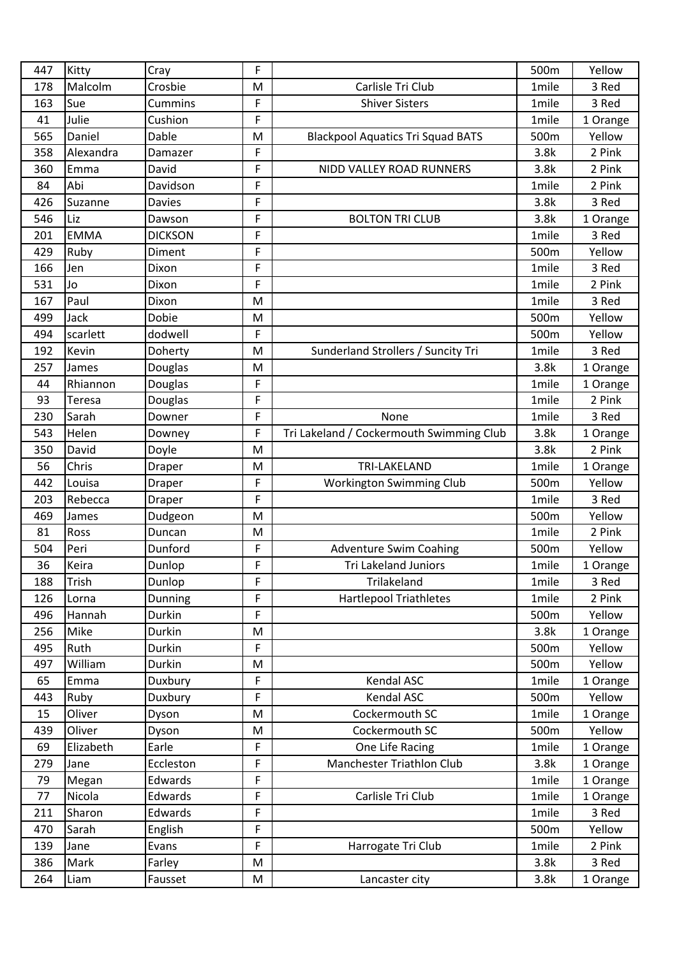| 447 | Kitty         | Cray           | F |                                          | 500m              | Yellow   |
|-----|---------------|----------------|---|------------------------------------------|-------------------|----------|
| 178 | Malcolm       | Crosbie        | M | Carlisle Tri Club                        | 1mile             | 3 Red    |
| 163 | Sue           | Cummins        | F | <b>Shiver Sisters</b>                    | 1mile             | 3 Red    |
| 41  | Julie         | Cushion        | F |                                          | 1mile             | 1 Orange |
| 565 | Daniel        | Dable          | M | <b>Blackpool Aquatics Tri Squad BATS</b> | 500m              | Yellow   |
| 358 | Alexandra     | Damazer        | F |                                          | 3.8k              | 2 Pink   |
| 360 | Emma          | David          | F | NIDD VALLEY ROAD RUNNERS                 | 3.8k              | 2 Pink   |
| 84  | Abi           | Davidson       | F |                                          | 1mile             | 2 Pink   |
| 426 | Suzanne       | <b>Davies</b>  | F |                                          | 3.8k              | 3 Red    |
| 546 | Liz           | Dawson         | F | <b>BOLTON TRI CLUB</b>                   | 3.8k              | 1 Orange |
| 201 | <b>EMMA</b>   | <b>DICKSON</b> | F |                                          | 1mile             | 3 Red    |
| 429 | Ruby          | Diment         | F |                                          | 500m              | Yellow   |
| 166 | Jen           | Dixon          | F |                                          | 1mile             | 3 Red    |
| 531 | Jo            | Dixon          | F |                                          | 1 <sub>mile</sub> | 2 Pink   |
| 167 | Paul          | Dixon          | M |                                          | 1mile             | 3 Red    |
| 499 | Jack          | Dobie          | M |                                          | 500m              | Yellow   |
| 494 | scarlett      | dodwell        | F |                                          | 500m              | Yellow   |
| 192 | Kevin         | Doherty        | M | Sunderland Strollers / Suncity Tri       | 1mile             | 3 Red    |
| 257 | James         | Douglas        | M |                                          | 3.8k              | 1 Orange |
| 44  | Rhiannon      | Douglas        | F |                                          | 1mile             | 1 Orange |
| 93  | <b>Teresa</b> | Douglas        | F |                                          | 1mile             | 2 Pink   |
| 230 | Sarah         | Downer         | F | None                                     | 1mile             | 3 Red    |
| 543 | Helen         | Downey         | F | Tri Lakeland / Cockermouth Swimming Club | 3.8k              | 1 Orange |
| 350 | David         | Doyle          | M |                                          | 3.8k              | 2 Pink   |
| 56  | Chris         | Draper         | M | TRI-LAKELAND                             | 1mile             | 1 Orange |
| 442 | Louisa        | Draper         | F | Workington Swimming Club                 | 500m              | Yellow   |
| 203 | Rebecca       | <b>Draper</b>  | F |                                          | 1mile             | 3 Red    |
| 469 | James         | Dudgeon        | M |                                          | 500m              | Yellow   |
| 81  | Ross          | Duncan         | M |                                          | 1mile             | 2 Pink   |
| 504 | Peri          | Dunford        | F | <b>Adventure Swim Coahing</b>            | 500m              | Yellow   |
| 36  | Keira         | Dunlop         | F | Tri Lakeland Juniors                     | 1mile             | 1 Orange |
| 188 | Trish         | Dunlop         | F | Trilakeland                              | 1mile             | 3 Red    |
| 126 | Lorna         | Dunning        | F | <b>Hartlepool Triathletes</b>            | 1mile             | 2 Pink   |
| 496 | Hannah        | Durkin         | F |                                          | 500m              | Yellow   |
| 256 | Mike          | Durkin         | M |                                          | 3.8k              | 1 Orange |
| 495 | Ruth          | Durkin         | F |                                          | 500m              | Yellow   |
| 497 | William       | Durkin         | M |                                          | 500m              | Yellow   |
| 65  | Emma          | Duxbury        | F | Kendal ASC                               | 1mile             | 1 Orange |
| 443 | Ruby          | Duxbury        | F | Kendal ASC                               | 500m              | Yellow   |
| 15  | Oliver        | Dyson          | M | Cockermouth SC                           | 1mile             | 1 Orange |
| 439 | Oliver        | Dyson          | M | Cockermouth SC                           | 500m              | Yellow   |
| 69  | Elizabeth     | Earle          | F | One Life Racing                          | 1mile             | 1 Orange |
| 279 | Jane          | Eccleston      | F | Manchester Triathlon Club                | 3.8k              | 1 Orange |
| 79  | Megan         | Edwards        | F |                                          | 1mile             | 1 Orange |
| 77  | Nicola        | Edwards        | F | Carlisle Tri Club                        | 1mile             | 1 Orange |
| 211 | Sharon        | Edwards        | F |                                          | 1mile             | 3 Red    |
| 470 | Sarah         | English        | F |                                          | 500m              | Yellow   |
| 139 | Jane          | Evans          | F | Harrogate Tri Club                       | 1mile             | 2 Pink   |
| 386 | Mark          | Farley         | M |                                          | 3.8k              | 3 Red    |
| 264 | Liam          | Fausset        | M | Lancaster city                           | 3.8k              | 1 Orange |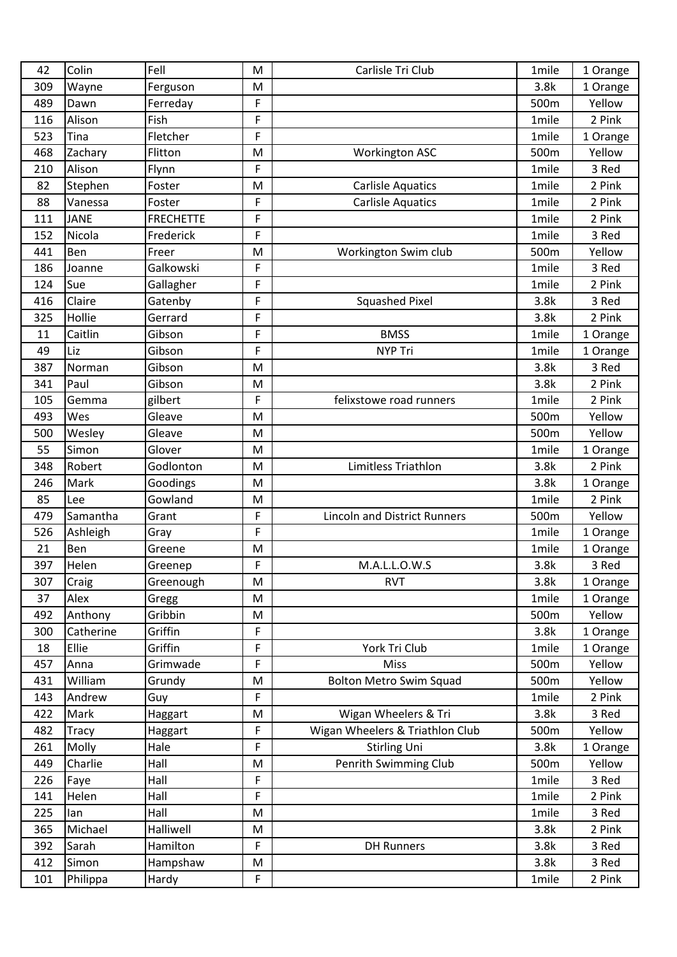| 42  | Colin       | Fell             | M | Carlisle Tri Club                   | 1mile | 1 Orange |
|-----|-------------|------------------|---|-------------------------------------|-------|----------|
| 309 | Wayne       | Ferguson         | M |                                     | 3.8k  | 1 Orange |
| 489 | Dawn        | Ferreday         | F |                                     | 500m  | Yellow   |
| 116 | Alison      | Fish             | F |                                     | 1mile | 2 Pink   |
| 523 | Tina        | Fletcher         | F |                                     | 1mile | 1 Orange |
| 468 | Zachary     | Flitton          | M | Workington ASC                      | 500m  | Yellow   |
| 210 | Alison      | Flynn            | F |                                     | 1mile | 3 Red    |
| 82  | Stephen     | Foster           | M | <b>Carlisle Aquatics</b>            | 1mile | 2 Pink   |
| 88  | Vanessa     | Foster           | F | <b>Carlisle Aquatics</b>            | 1mile | 2 Pink   |
| 111 | <b>JANE</b> | <b>FRECHETTE</b> | F |                                     | 1mile | 2 Pink   |
| 152 | Nicola      | Frederick        | F |                                     | 1mile | 3 Red    |
| 441 | Ben         | Freer            | M | Workington Swim club                | 500m  | Yellow   |
| 186 | Joanne      | Galkowski        | F |                                     | 1mile | 3 Red    |
| 124 | Sue         | Gallagher        | F |                                     | 1mile | 2 Pink   |
| 416 | Claire      | Gatenby          | F | <b>Squashed Pixel</b>               | 3.8k  | 3 Red    |
| 325 | Hollie      | Gerrard          | F |                                     | 3.8k  | 2 Pink   |
| 11  | Caitlin     | Gibson           | F | <b>BMSS</b>                         | 1mile | 1 Orange |
| 49  | Liz         | Gibson           | F | <b>NYP Tri</b>                      | 1mile | 1 Orange |
| 387 | Norman      | Gibson           | M |                                     | 3.8k  | 3 Red    |
| 341 | Paul        | Gibson           | M |                                     | 3.8k  | 2 Pink   |
| 105 | Gemma       | gilbert          | F | felixstowe road runners             | 1mile | 2 Pink   |
| 493 | Wes         | Gleave           | M |                                     | 500m  | Yellow   |
| 500 | Wesley      | Gleave           | M |                                     | 500m  | Yellow   |
| 55  | Simon       | Glover           | M |                                     | 1mile | 1 Orange |
| 348 | Robert      | Godlonton        | M | Limitless Triathlon                 | 3.8k  | 2 Pink   |
| 246 | Mark        | Goodings         | M |                                     | 3.8k  | 1 Orange |
| 85  | Lee         | Gowland          | M |                                     | 1mile | 2 Pink   |
| 479 | Samantha    | Grant            | F | <b>Lincoln and District Runners</b> | 500m  | Yellow   |
| 526 | Ashleigh    | Gray             | F |                                     | 1mile | 1 Orange |
| 21  | Ben         | Greene           | M |                                     | 1mile | 1 Orange |
| 397 | Helen       | Greenep          | F | M.A.L.L.O.W.S                       | 3.8k  | 3 Red    |
| 307 | Craig       | Greenough        | M | <b>RVT</b>                          | 3.8k  | 1 Orange |
| 37  | Alex        | Gregg            | M |                                     | 1mile | 1 Orange |
| 492 | Anthony     | Gribbin          | M |                                     | 500m  | Yellow   |
| 300 | Catherine   | Griffin          | F |                                     | 3.8k  | 1 Orange |
| 18  | Ellie       | Griffin          | F | York Tri Club                       | 1mile | 1 Orange |
| 457 | Anna        | Grimwade         | F | Miss                                | 500m  | Yellow   |
| 431 | William     | Grundy           | M | <b>Bolton Metro Swim Squad</b>      | 500m  | Yellow   |
| 143 | Andrew      | Guy              | F |                                     | 1mile | 2 Pink   |
| 422 | Mark        | Haggart          | M | Wigan Wheelers & Tri                | 3.8k  | 3 Red    |
| 482 | Tracy       | Haggart          | F | Wigan Wheelers & Triathlon Club     | 500m  | Yellow   |
| 261 | Molly       | Hale             | F | <b>Stirling Uni</b>                 | 3.8k  | 1 Orange |
| 449 | Charlie     | Hall             | M | Penrith Swimming Club               | 500m  | Yellow   |
| 226 | Faye        | Hall             | F |                                     | 1mile | 3 Red    |
| 141 | Helen       | Hall             | F |                                     | 1mile | 2 Pink   |
| 225 | lan         | Hall             | M |                                     | 1mile | 3 Red    |
| 365 | Michael     | Halliwell        | M |                                     | 3.8k  | 2 Pink   |
| 392 | Sarah       | Hamilton         | F | <b>DH Runners</b>                   | 3.8k  | 3 Red    |
| 412 | Simon       | Hampshaw         | M |                                     | 3.8k  | 3 Red    |
| 101 | Philippa    | Hardy            | F |                                     | 1mile | 2 Pink   |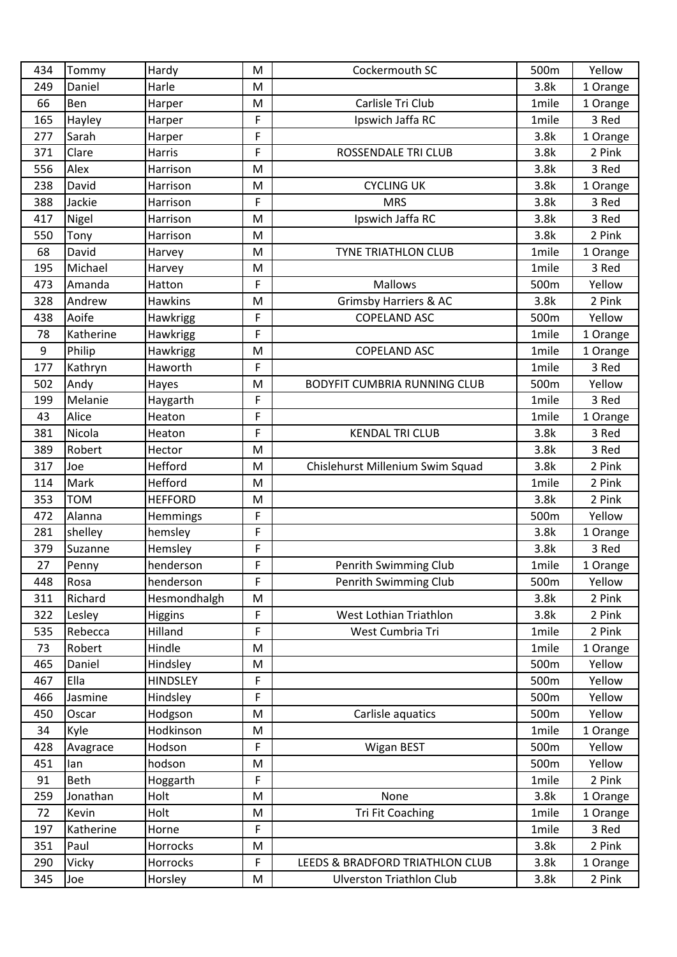| 434 | Tommy       | Hardy           | M | Cockermouth SC                      | 500m  | Yellow   |
|-----|-------------|-----------------|---|-------------------------------------|-------|----------|
| 249 | Daniel      | Harle           | M |                                     | 3.8k  | 1 Orange |
| 66  | Ben         | Harper          | M | Carlisle Tri Club                   | 1mile | 1 Orange |
| 165 | Hayley      | Harper          | F | Ipswich Jaffa RC                    | 1mile | 3 Red    |
| 277 | Sarah       | Harper          | F |                                     | 3.8k  | 1 Orange |
| 371 | Clare       | Harris          | F | ROSSENDALE TRI CLUB                 | 3.8k  | 2 Pink   |
| 556 | Alex        | Harrison        | M |                                     | 3.8k  | 3 Red    |
| 238 | David       | Harrison        | M | <b>CYCLING UK</b>                   | 3.8k  | 1 Orange |
| 388 | Jackie      | Harrison        | F | <b>MRS</b>                          | 3.8k  | 3 Red    |
| 417 | Nigel       | Harrison        | M | Ipswich Jaffa RC                    | 3.8k  | 3 Red    |
| 550 | Tony        | Harrison        | M |                                     | 3.8k  | 2 Pink   |
| 68  | David       | Harvey          | M | TYNE TRIATHLON CLUB                 | 1mile | 1 Orange |
| 195 | Michael     | Harvey          | M |                                     | 1mile | 3 Red    |
| 473 | Amanda      | Hatton          | F | <b>Mallows</b>                      | 500m  | Yellow   |
| 328 | Andrew      | Hawkins         | M | <b>Grimsby Harriers &amp; AC</b>    | 3.8k  | 2 Pink   |
| 438 | Aoife       | Hawkrigg        | F | <b>COPELAND ASC</b>                 | 500m  | Yellow   |
| 78  | Katherine   | Hawkrigg        | F |                                     | 1mile | 1 Orange |
| 9   | Philip      | Hawkrigg        | M | <b>COPELAND ASC</b>                 | 1mile | 1 Orange |
| 177 | Kathryn     | Haworth         | F |                                     | 1mile | 3 Red    |
| 502 | Andy        | Hayes           | M | <b>BODYFIT CUMBRIA RUNNING CLUB</b> | 500m  | Yellow   |
| 199 | Melanie     | Haygarth        | F |                                     | 1mile | 3 Red    |
| 43  | Alice       | Heaton          | F |                                     | 1mile | 1 Orange |
| 381 | Nicola      | Heaton          | F | <b>KENDAL TRI CLUB</b>              | 3.8k  | 3 Red    |
| 389 | Robert      | Hector          | M |                                     | 3.8k  | 3 Red    |
| 317 | Joe         | Hefford         | M | Chislehurst Millenium Swim Squad    | 3.8k  | 2 Pink   |
| 114 | Mark        | Hefford         | M |                                     | 1mile | 2 Pink   |
| 353 | <b>TOM</b>  | <b>HEFFORD</b>  | M |                                     | 3.8k  | 2 Pink   |
| 472 | Alanna      | Hemmings        | F |                                     | 500m  | Yellow   |
| 281 | shelley     | hemsley         | F |                                     | 3.8k  | 1 Orange |
| 379 | Suzanne     | Hemsley         | F |                                     | 3.8k  | 3 Red    |
| 27  | Penny       | henderson       | F | Penrith Swimming Club               | 1mile | 1 Orange |
| 448 | Rosa        | henderson       | F | Penrith Swimming Club               | 500m  | Yellow   |
| 311 | Richard     | Hesmondhalgh    | M |                                     | 3.8k  | 2 Pink   |
| 322 | Lesley      | <b>Higgins</b>  | F | West Lothian Triathlon              | 3.8k  | 2 Pink   |
| 535 | Rebecca     | Hilland         | F | West Cumbria Tri                    | 1mile | 2 Pink   |
| 73  | Robert      | Hindle          | M |                                     | 1mile | 1 Orange |
| 465 | Daniel      | Hindsley        | M |                                     | 500m  | Yellow   |
| 467 | Ella        | <b>HINDSLEY</b> | F |                                     | 500m  | Yellow   |
| 466 | Jasmine     | Hindsley        | F |                                     | 500m  | Yellow   |
| 450 | Oscar       | Hodgson         | M | Carlisle aquatics                   | 500m  | Yellow   |
| 34  | Kyle        | Hodkinson       | M |                                     | 1mile | 1 Orange |
| 428 | Avagrace    | Hodson          | F | <b>Wigan BEST</b>                   | 500m  | Yellow   |
| 451 | lan         | hodson          | M |                                     | 500m  | Yellow   |
| 91  | <b>Beth</b> | Hoggarth        | F |                                     | 1mile | 2 Pink   |
| 259 | Jonathan    | Holt            | M | None                                | 3.8k  | 1 Orange |
| 72  | Kevin       | Holt            | M | Tri Fit Coaching                    | 1mile | 1 Orange |
| 197 | Katherine   | Horne           | F |                                     | 1mile | 3 Red    |
| 351 | Paul        | Horrocks        | M |                                     | 3.8k  | 2 Pink   |
| 290 | Vicky       | Horrocks        | F | LEEDS & BRADFORD TRIATHLON CLUB     | 3.8k  | 1 Orange |
| 345 | Joe         | Horsley         | M | <b>Ulverston Triathlon Club</b>     | 3.8k  | 2 Pink   |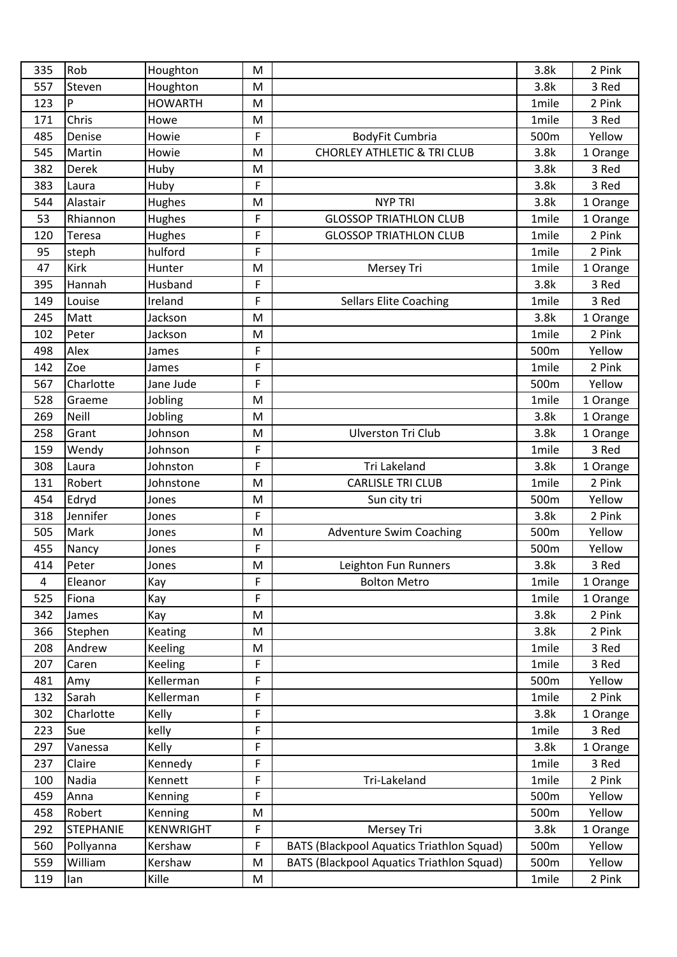| 335 | Rob              | Houghton         | M |                                                  | 3.8k  | 2 Pink   |
|-----|------------------|------------------|---|--------------------------------------------------|-------|----------|
| 557 | Steven           | Houghton         | M |                                                  | 3.8k  | 3 Red    |
| 123 | P                | <b>HOWARTH</b>   | M |                                                  | 1mile | 2 Pink   |
| 171 | Chris            | Howe             | M |                                                  | 1mile | 3 Red    |
| 485 | Denise           | Howie            | F | BodyFit Cumbria                                  | 500m  | Yellow   |
| 545 | Martin           | Howie            | M | <b>CHORLEY ATHLETIC &amp; TRI CLUB</b>           | 3.8k  | 1 Orange |
| 382 | <b>Derek</b>     | Huby             | M |                                                  | 3.8k  | 3 Red    |
| 383 | Laura            | Huby             | F |                                                  | 3.8k  | 3 Red    |
| 544 | Alastair         | Hughes           | M | <b>NYP TRI</b>                                   | 3.8k  | 1 Orange |
| 53  | Rhiannon         | Hughes           | F | <b>GLOSSOP TRIATHLON CLUB</b>                    | 1mile | 1 Orange |
| 120 | Teresa           | Hughes           | F | <b>GLOSSOP TRIATHLON CLUB</b>                    | 1mile | 2 Pink   |
| 95  | steph            | hulford          | F |                                                  | 1mile | 2 Pink   |
| 47  | Kirk             | Hunter           | M | Mersey Tri                                       | 1mile | 1 Orange |
| 395 | Hannah           | Husband          | F |                                                  | 3.8k  | 3 Red    |
| 149 | Louise           | Ireland          | F | <b>Sellars Elite Coaching</b>                    | 1mile | 3 Red    |
| 245 | Matt             | Jackson          | M |                                                  | 3.8k  | 1 Orange |
| 102 | Peter            | Jackson          | M |                                                  | 1mile | 2 Pink   |
| 498 | Alex             | James            | F |                                                  | 500m  | Yellow   |
| 142 | Zoe              | James            | F |                                                  | 1mile | 2 Pink   |
| 567 | Charlotte        | Jane Jude        | F |                                                  | 500m  | Yellow   |
| 528 | Graeme           | Jobling          | M |                                                  | 1mile | 1 Orange |
| 269 | <b>Neill</b>     | Jobling          | M |                                                  | 3.8k  | 1 Orange |
| 258 | Grant            | Johnson          | M | <b>Ulverston Tri Club</b>                        | 3.8k  | 1 Orange |
| 159 | Wendy            | Johnson          | F |                                                  | 1mile | 3 Red    |
| 308 | Laura            | Johnston         | F | Tri Lakeland                                     | 3.8k  | 1 Orange |
| 131 | Robert           | Johnstone        | M | <b>CARLISLE TRI CLUB</b>                         | 1mile | 2 Pink   |
| 454 | Edryd            | Jones            | M | Sun city tri                                     | 500m  | Yellow   |
| 318 | Jennifer         | Jones            | F |                                                  | 3.8k  | 2 Pink   |
| 505 | Mark             | Jones            | M | <b>Adventure Swim Coaching</b>                   | 500m  | Yellow   |
| 455 | Nancy            | Jones            | F |                                                  | 500m  | Yellow   |
| 414 | Peter            | Jones            | M | Leighton Fun Runners                             | 3.8k  | 3 Red    |
| 4   | Eleanor          | Kay              | F | <b>Bolton Metro</b>                              | 1mile | 1 Orange |
| 525 | Fiona            | Kay              | F |                                                  | 1mile | 1 Orange |
| 342 | James            | Kay              | M |                                                  | 3.8k  | 2 Pink   |
| 366 | Stephen          | Keating          | M |                                                  | 3.8k  | 2 Pink   |
| 208 | Andrew           | Keeling          | M |                                                  | 1mile | 3 Red    |
| 207 | Caren            | <b>Keeling</b>   | F |                                                  | 1mile | 3 Red    |
| 481 | Amy              | Kellerman        | F |                                                  | 500m  | Yellow   |
| 132 | Sarah            | Kellerman        | F |                                                  | 1mile | 2 Pink   |
| 302 | Charlotte        | Kelly            | F |                                                  | 3.8k  | 1 Orange |
| 223 | Sue              | kelly            | F |                                                  | 1mile | 3 Red    |
| 297 | Vanessa          | Kelly            | F |                                                  | 3.8k  | 1 Orange |
| 237 | Claire           | Kennedy          | F |                                                  | 1mile | 3 Red    |
| 100 | Nadia            | Kennett          | F | Tri-Lakeland                                     | 1mile | 2 Pink   |
| 459 | Anna             | Kenning          | F |                                                  | 500m  | Yellow   |
| 458 | Robert           | Kenning          | M |                                                  | 500m  | Yellow   |
| 292 | <b>STEPHANIE</b> | <b>KENWRIGHT</b> | F | Mersey Tri                                       | 3.8k  | 1 Orange |
| 560 | Pollyanna        | Kershaw          | F | <b>BATS (Blackpool Aquatics Triathlon Squad)</b> | 500m  | Yellow   |
| 559 | William          | Kershaw          | M | <b>BATS (Blackpool Aquatics Triathlon Squad)</b> | 500m  | Yellow   |
| 119 | lan              | Kille            | M |                                                  | 1mile | 2 Pink   |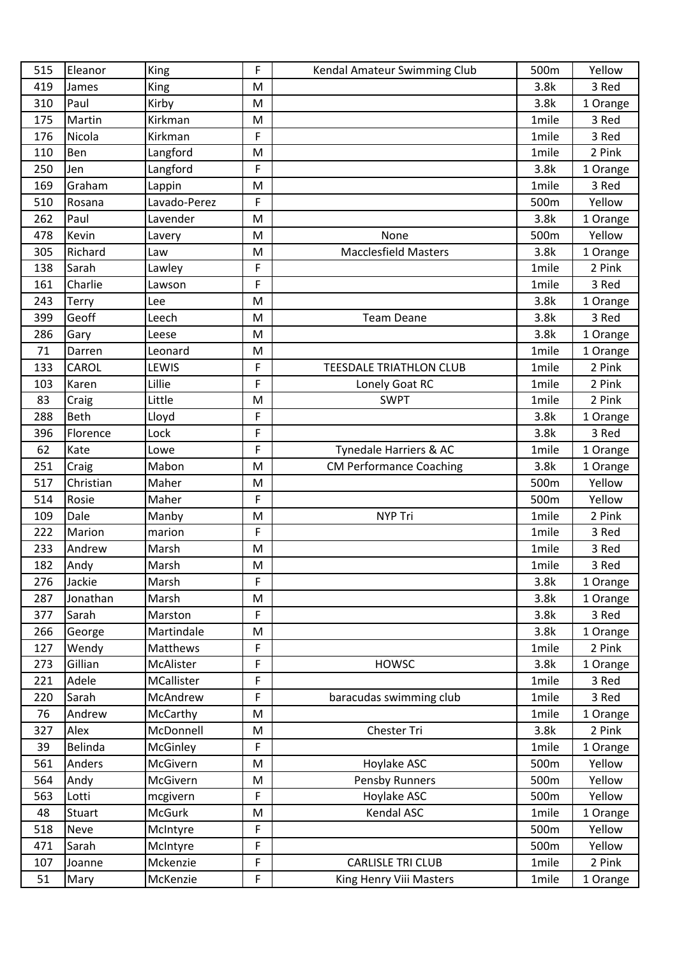| 515 | Eleanor     | King          | F | Kendal Amateur Swimming Club   | 500m  | Yellow   |
|-----|-------------|---------------|---|--------------------------------|-------|----------|
| 419 | James       | King          | M |                                | 3.8k  | 3 Red    |
| 310 | Paul        | Kirby         | M |                                | 3.8k  | 1 Orange |
| 175 | Martin      | Kirkman       | M |                                | 1mile | 3 Red    |
| 176 | Nicola      | Kirkman       | F |                                | 1mile | 3 Red    |
| 110 | Ben         | Langford      | M |                                | 1mile | 2 Pink   |
| 250 | Jen         | Langford      | F |                                | 3.8k  | 1 Orange |
| 169 | Graham      | Lappin        | M |                                | 1mile | 3 Red    |
| 510 | Rosana      | Lavado-Perez  | F |                                | 500m  | Yellow   |
| 262 | Paul        | Lavender      | M |                                | 3.8k  | 1 Orange |
| 478 | Kevin       | Lavery        | M | None                           | 500m  | Yellow   |
| 305 | Richard     | Law           | M | <b>Macclesfield Masters</b>    | 3.8k  | 1 Orange |
| 138 | Sarah       | Lawley        | F |                                | 1mile | 2 Pink   |
| 161 | Charlie     | Lawson        | F |                                | 1mile | 3 Red    |
| 243 | Terry       | Lee           | M |                                | 3.8k  | 1 Orange |
| 399 | Geoff       | Leech         | M | <b>Team Deane</b>              | 3.8k  | 3 Red    |
| 286 | Gary        | Leese         | M |                                | 3.8k  | 1 Orange |
| 71  | Darren      | Leonard       | M |                                | 1mile | 1 Orange |
| 133 | CAROL       | LEWIS         | F | <b>TEESDALE TRIATHLON CLUB</b> | 1mile | 2 Pink   |
| 103 | Karen       | Lillie        | F | Lonely Goat RC                 | 1mile | 2 Pink   |
| 83  | Craig       | Little        | M | <b>SWPT</b>                    | 1mile | 2 Pink   |
| 288 | <b>Beth</b> | Lloyd         | F |                                | 3.8k  | 1 Orange |
| 396 | Florence    | Lock          | F |                                | 3.8k  | 3 Red    |
| 62  | Kate        | Lowe          | F | Tynedale Harriers & AC         | 1mile | 1 Orange |
| 251 | Craig       | Mabon         | M | <b>CM Performance Coaching</b> | 3.8k  | 1 Orange |
| 517 | Christian   | Maher         | M |                                | 500m  | Yellow   |
| 514 | Rosie       | Maher         | F |                                | 500m  | Yellow   |
| 109 | Dale        | Manby         | M | <b>NYP Tri</b>                 | 1mile | 2 Pink   |
| 222 | Marion      | marion        | F |                                | 1mile | 3 Red    |
| 233 | Andrew      | Marsh         | M |                                | 1mile | 3 Red    |
| 182 | Andy        | Marsh         | M |                                | 1mile | 3 Red    |
| 276 | Jackie      | Marsh         | F |                                | 3.8k  | 1 Orange |
| 287 | Jonathan    | Marsh         | M |                                | 3.8k  | 1 Orange |
| 377 | Sarah       | Marston       | F |                                | 3.8k  | 3 Red    |
| 266 | George      | Martindale    | M |                                | 3.8k  | 1 Orange |
| 127 | Wendy       | Matthews      | F |                                | 1mile | 2 Pink   |
| 273 | Gillian     | McAlister     | F | <b>HOWSC</b>                   | 3.8k  | 1 Orange |
| 221 | Adele       | MCallister    | F |                                | 1mile | 3 Red    |
| 220 | Sarah       | McAndrew      | F | baracudas swimming club        | 1mile | 3 Red    |
| 76  | Andrew      | McCarthy      | M |                                | 1mile | 1 Orange |
| 327 | Alex        | McDonnell     | M | Chester Tri                    | 3.8k  | 2 Pink   |
| 39  | Belinda     | McGinley      | F |                                | 1mile | 1 Orange |
| 561 | Anders      | McGivern      | M | Hoylake ASC                    | 500m  | Yellow   |
| 564 | Andy        | McGivern      | M | Pensby Runners                 | 500m  | Yellow   |
| 563 | Lotti       | mcgivern      | F | Hoylake ASC                    | 500m  | Yellow   |
| 48  | Stuart      | <b>McGurk</b> | M | Kendal ASC                     | 1mile | 1 Orange |
| 518 | <b>Neve</b> | McIntyre      | F |                                | 500m  | Yellow   |
| 471 | Sarah       | McIntyre      | F |                                | 500m  | Yellow   |
| 107 | Joanne      | Mckenzie      | F | <b>CARLISLE TRI CLUB</b>       | 1mile | 2 Pink   |
| 51  | Mary        | McKenzie      | F | King Henry Viii Masters        | 1mile | 1 Orange |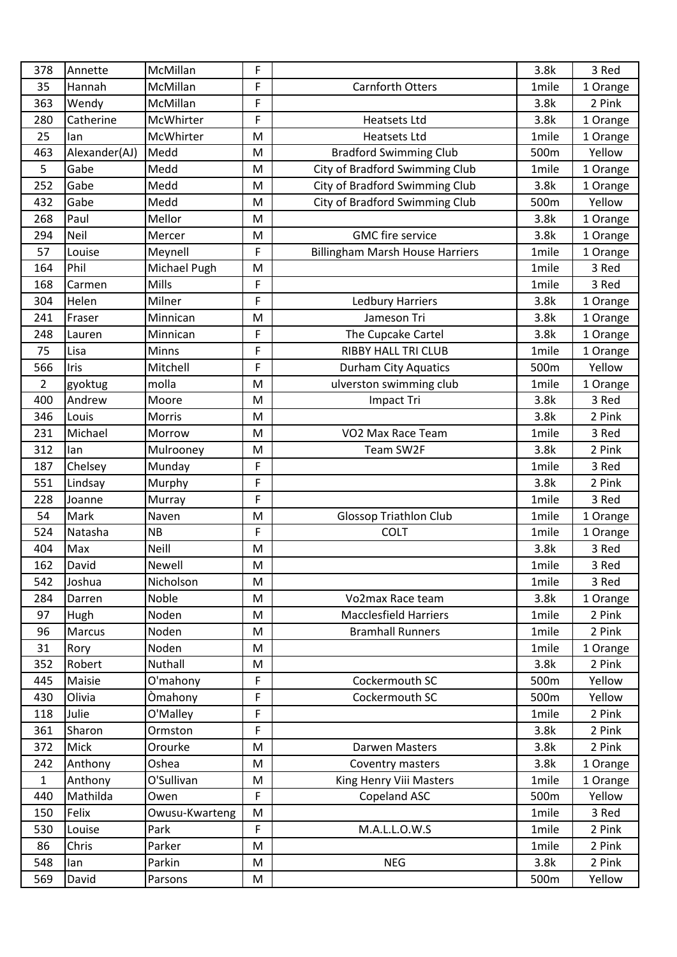| 378            | Annette       | McMillan       | F |                                        | 3.8k  | 3 Red    |
|----------------|---------------|----------------|---|----------------------------------------|-------|----------|
| 35             | Hannah        | McMillan       | F | Carnforth Otters                       | 1mile | 1 Orange |
| 363            | Wendy         | McMillan       | F |                                        | 3.8k  | 2 Pink   |
| 280            | Catherine     | McWhirter      | F | <b>Heatsets Ltd</b>                    | 3.8k  | 1 Orange |
| 25             | lan           | McWhirter      | M | <b>Heatsets Ltd</b>                    | 1mile | 1 Orange |
| 463            | Alexander(AJ) | Medd           | M | <b>Bradford Swimming Club</b>          | 500m  | Yellow   |
| 5              | Gabe          | Medd           | M | City of Bradford Swimming Club         | 1mile | 1 Orange |
| 252            | Gabe          | Medd           | M | City of Bradford Swimming Club         | 3.8k  | 1 Orange |
| 432            | Gabe          | Medd           | M | <b>City of Bradford Swimming Club</b>  | 500m  | Yellow   |
| 268            | Paul          | Mellor         | M |                                        | 3.8k  | 1 Orange |
| 294            | Neil          | Mercer         | M | <b>GMC</b> fire service                | 3.8k  | 1 Orange |
| 57             | Louise        | Meynell        | F | <b>Billingham Marsh House Harriers</b> | 1mile | 1 Orange |
| 164            | Phil          | Michael Pugh   | M |                                        | 1mile | 3 Red    |
| 168            | Carmen        | Mills          | F |                                        | 1mile | 3 Red    |
| 304            | Helen         | Milner         | F | <b>Ledbury Harriers</b>                | 3.8k  | 1 Orange |
| 241            | Fraser        | Minnican       | M | Jameson Tri                            | 3.8k  | 1 Orange |
| 248            | Lauren        | Minnican       | F | The Cupcake Cartel                     | 3.8k  | 1 Orange |
| 75             | Lisa          | Minns          | F | <b>RIBBY HALL TRI CLUB</b>             | 1mile | 1 Orange |
| 566            | Iris          | Mitchell       | F | <b>Durham City Aquatics</b>            | 500m  | Yellow   |
| $\overline{2}$ | gyoktug       | molla          | M | ulverston swimming club                | 1mile | 1 Orange |
| 400            | Andrew        | Moore          | M | Impact Tri                             | 3.8k  | 3 Red    |
| 346            | Louis         | Morris         | M |                                        | 3.8k  | 2 Pink   |
| 231            | Michael       | Morrow         | M | VO2 Max Race Team                      | 1mile | 3 Red    |
| 312            | lan           | Mulrooney      | M | Team SW2F                              | 3.8k  | 2 Pink   |
| 187            | Chelsey       | Munday         | F |                                        | 1mile | 3 Red    |
| 551            | Lindsay       | Murphy         | F |                                        | 3.8k  | 2 Pink   |
| 228            | Joanne        | Murray         | F |                                        | 1mile | 3 Red    |
| 54             | Mark          | Naven          | M | <b>Glossop Triathlon Club</b>          | 1mile | 1 Orange |
| 524            | Natasha       | <b>NB</b>      | F | <b>COLT</b>                            | 1mile | 1 Orange |
| 404            | Max           | Neill          | M |                                        | 3.8k  | 3 Red    |
| 162            | David         | Newell         | M |                                        | 1mile | 3 Red    |
| 542            | Joshua        | Nicholson      | M |                                        | 1mile | 3 Red    |
| 284            | Darren        | Noble          | M | Vo2max Race team                       | 3.8k  | 1 Orange |
| 97             | Hugh          | Noden          | M | <b>Macclesfield Harriers</b>           | 1mile | 2 Pink   |
| 96             | Marcus        | Noden          | M | <b>Bramhall Runners</b>                | 1mile | 2 Pink   |
| 31             | Rory          | Noden          | M |                                        | 1mile | 1 Orange |
| 352            | Robert        | Nuthall        | M |                                        | 3.8k  | 2 Pink   |
| 445            | Maisie        | O'mahony       | F | Cockermouth SC                         | 500m  | Yellow   |
| 430            | Olivia        | <b>Omahony</b> | F | Cockermouth SC                         | 500m  | Yellow   |
| 118            | Julie         | O'Malley       | F |                                        | 1mile | 2 Pink   |
| 361            | Sharon        | Ormston        | F |                                        | 3.8k  | 2 Pink   |
| 372            | Mick          | Orourke        | M | Darwen Masters                         | 3.8k  | 2 Pink   |
| 242            | Anthony       | Oshea          | M | Coventry masters                       | 3.8k  | 1 Orange |
| $\mathbf{1}$   | Anthony       | O'Sullivan     | M | King Henry Viii Masters                | 1mile | 1 Orange |
| 440            | Mathilda      | Owen           | F | Copeland ASC                           | 500m  | Yellow   |
| 150            | Felix         | Owusu-Kwarteng | M |                                        | 1mile | 3 Red    |
| 530            | Louise        | Park           | F | M.A.L.L.O.W.S                          | 1mile | 2 Pink   |
| 86             | Chris         | Parker         | M |                                        | 1mile | 2 Pink   |
| 548            | lan           | Parkin         | M | <b>NEG</b>                             | 3.8k  | 2 Pink   |
| 569            | David         | Parsons        | M |                                        | 500m  | Yellow   |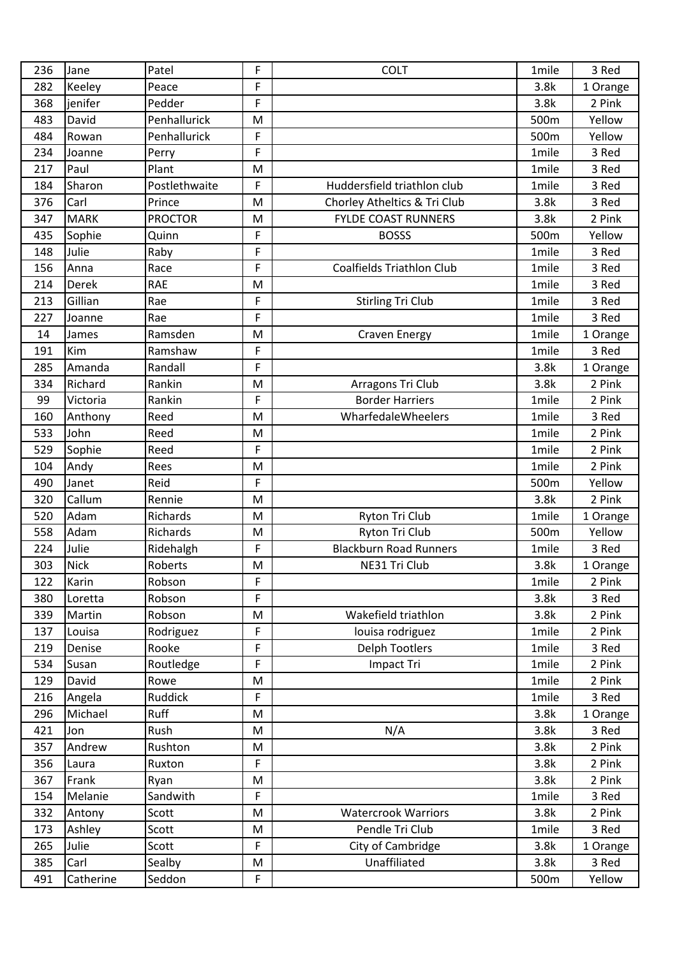| 236 | Jane         | Patel          | F | <b>COLT</b>                      | 1mile | 3 Red    |
|-----|--------------|----------------|---|----------------------------------|-------|----------|
| 282 | Keeley       | Peace          | F |                                  | 3.8k  | 1 Orange |
| 368 | jenifer      | Pedder         | F |                                  | 3.8k  | 2 Pink   |
| 483 | David        | Penhallurick   | M |                                  | 500m  | Yellow   |
| 484 | Rowan        | Penhallurick   | F |                                  | 500m  | Yellow   |
| 234 | Joanne       | Perry          | F |                                  | 1mile | 3 Red    |
| 217 | Paul         | Plant          | M |                                  | 1mile | 3 Red    |
| 184 | Sharon       | Postlethwaite  | F | Huddersfield triathlon club      | 1mile | 3 Red    |
| 376 | Carl         | Prince         | M | Chorley Atheltics & Tri Club     | 3.8k  | 3 Red    |
| 347 | <b>MARK</b>  | <b>PROCTOR</b> | M | <b>FYLDE COAST RUNNERS</b>       | 3.8k  | 2 Pink   |
| 435 | Sophie       | Quinn          | F | <b>BOSSS</b>                     | 500m  | Yellow   |
| 148 | Julie        | Raby           | F |                                  | 1mile | 3 Red    |
| 156 | Anna         | Race           | F | <b>Coalfields Triathlon Club</b> | 1mile | 3 Red    |
| 214 | <b>Derek</b> | <b>RAE</b>     | M |                                  | 1mile | 3 Red    |
| 213 | Gillian      | Rae            | F | <b>Stirling Tri Club</b>         | 1mile | 3 Red    |
| 227 | Joanne       | Rae            | F |                                  | 1mile | 3 Red    |
| 14  | James        | Ramsden        | M | <b>Craven Energy</b>             | 1mile | 1 Orange |
| 191 | Kim          | Ramshaw        | F |                                  | 1mile | 3 Red    |
| 285 | Amanda       | Randall        | F |                                  | 3.8k  | 1 Orange |
| 334 | Richard      | Rankin         | M | Arragons Tri Club                | 3.8k  | 2 Pink   |
| 99  | Victoria     | Rankin         | F | <b>Border Harriers</b>           | 1mile | 2 Pink   |
| 160 | Anthony      | Reed           | M | WharfedaleWheelers               | 1mile | 3 Red    |
| 533 | John         | Reed           | M |                                  | 1mile | 2 Pink   |
| 529 | Sophie       | Reed           | F |                                  | 1mile | 2 Pink   |
| 104 | Andy         | Rees           | M |                                  | 1mile | 2 Pink   |
| 490 | Janet        | Reid           | F |                                  | 500m  | Yellow   |
| 320 | Callum       | Rennie         | M |                                  | 3.8k  | 2 Pink   |
| 520 | Adam         | Richards       | M | Ryton Tri Club                   | 1mile | 1 Orange |
| 558 | Adam         | Richards       | M | Ryton Tri Club                   | 500m  | Yellow   |
| 224 | Julie        | Ridehalgh      | F | <b>Blackburn Road Runners</b>    | 1mile | 3 Red    |
| 303 | <b>Nick</b>  | Roberts        | M | NE31 Tri Club                    | 3.8k  | 1 Orange |
| 122 | Karin        | Robson         | F |                                  | 1mile | 2 Pink   |
| 380 | Loretta      | Robson         | F |                                  | 3.8k  | 3 Red    |
| 339 | Martin       | Robson         | M | Wakefield triathlon              | 3.8k  | 2 Pink   |
| 137 | Louisa       | Rodriguez      | F | louisa rodriguez                 | 1mile | 2 Pink   |
| 219 | Denise       | Rooke          | F | <b>Delph Tootlers</b>            | 1mile | 3 Red    |
| 534 | Susan        | Routledge      | F | Impact Tri                       | 1mile | 2 Pink   |
| 129 | David        | Rowe           | M |                                  | 1mile | 2 Pink   |
| 216 | Angela       | Ruddick        | F |                                  | 1mile | 3 Red    |
| 296 | Michael      | Ruff           | M |                                  | 3.8k  | 1 Orange |
| 421 | Jon          | Rush           | M | N/A                              | 3.8k  | 3 Red    |
| 357 | Andrew       | Rushton        | M |                                  | 3.8k  | 2 Pink   |
| 356 | Laura        | Ruxton         | F |                                  | 3.8k  | 2 Pink   |
| 367 | Frank        | Ryan           | M |                                  | 3.8k  | 2 Pink   |
| 154 | Melanie      | Sandwith       | F |                                  | 1mile | 3 Red    |
| 332 | Antony       | Scott          | M | <b>Watercrook Warriors</b>       | 3.8k  | 2 Pink   |
| 173 | Ashley       | Scott          | M | Pendle Tri Club                  | 1mile | 3 Red    |
| 265 | Julie        | Scott          | F | City of Cambridge                | 3.8k  | 1 Orange |
| 385 | Carl         | Sealby         | M | Unaffiliated                     | 3.8k  | 3 Red    |
| 491 | Catherine    | Seddon         | F |                                  | 500m  | Yellow   |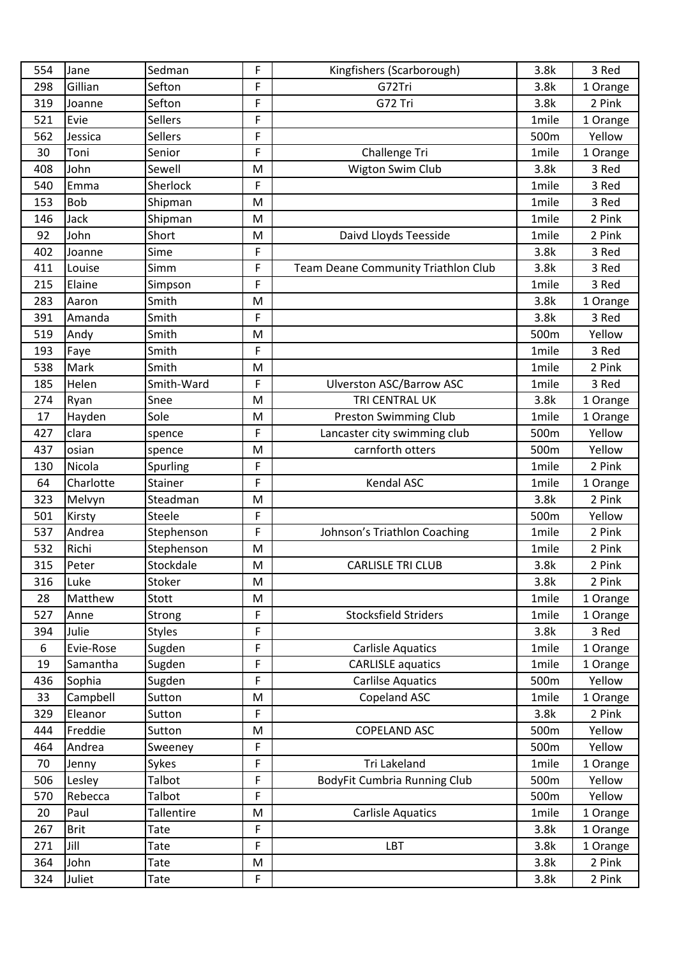| 554 | Jane        | Sedman            | F | Kingfishers (Scarborough)           | 3.8k  | 3 Red    |
|-----|-------------|-------------------|---|-------------------------------------|-------|----------|
| 298 | Gillian     | Sefton            | F | G72Tri                              | 3.8k  | 1 Orange |
| 319 | Joanne      | Sefton            | F | G72 Tri                             | 3.8k  | 2 Pink   |
| 521 | Evie        | Sellers           | F |                                     | 1mile | 1 Orange |
| 562 | Jessica     | Sellers           | F |                                     | 500m  | Yellow   |
| 30  | Toni        | Senior            | F | Challenge Tri                       | 1mile | 1 Orange |
| 408 | John        | Sewell            | M | Wigton Swim Club                    | 3.8k  | 3 Red    |
| 540 | Emma        | Sherlock          | F |                                     | 1mile | 3 Red    |
| 153 | <b>Bob</b>  | Shipman           | M |                                     | 1mile | 3 Red    |
| 146 | Jack        | Shipman           | M |                                     | 1mile | 2 Pink   |
| 92  | John        | Short             | M | Daivd Lloyds Teesside               | 1mile | 2 Pink   |
| 402 | Joanne      | Sime              | F |                                     | 3.8k  | 3 Red    |
| 411 | Louise      | Simm              | F | Team Deane Community Triathlon Club | 3.8k  | 3 Red    |
| 215 | Elaine      | Simpson           | F |                                     | 1mile | 3 Red    |
| 283 | Aaron       | Smith             | M |                                     | 3.8k  | 1 Orange |
| 391 | Amanda      | Smith             | F |                                     | 3.8k  | 3 Red    |
| 519 | Andy        | Smith             | M |                                     | 500m  | Yellow   |
| 193 | Faye        | Smith             | F |                                     | 1mile | 3 Red    |
| 538 | Mark        | Smith             | M |                                     | 1mile | 2 Pink   |
| 185 | Helen       | Smith-Ward        | F | <b>Ulverston ASC/Barrow ASC</b>     | 1mile | 3 Red    |
| 274 | Ryan        | Snee              | M | TRI CENTRAL UK                      | 3.8k  | 1 Orange |
| 17  | Hayden      | Sole              | M | <b>Preston Swimming Club</b>        | 1mile | 1 Orange |
| 427 | clara       | spence            | F | Lancaster city swimming club        | 500m  | Yellow   |
| 437 | osian       | spence            | M | carnforth otters                    | 500m  | Yellow   |
| 130 | Nicola      | Spurling          | F |                                     | 1mile | 2 Pink   |
| 64  | Charlotte   | Stainer           | F | Kendal ASC                          | 1mile | 1 Orange |
| 323 | Melvyn      | Steadman          | M |                                     | 3.8k  | 2 Pink   |
| 501 | Kirsty      | Steele            | F |                                     | 500m  | Yellow   |
| 537 | Andrea      | Stephenson        | F | Johnson's Triathlon Coaching        | 1mile | 2 Pink   |
| 532 | Richi       | Stephenson        | M |                                     | 1mile | 2 Pink   |
| 315 | Peter       | Stockdale         | M | <b>CARLISLE TRI CLUB</b>            | 3.8k  | 2 Pink   |
| 316 | Luke        | Stoker            | M |                                     | 3.8k  | 2 Pink   |
| 28  | Matthew     | Stott             | M |                                     | 1mile | 1 Orange |
| 527 | Anne        | Strong            | F | <b>Stocksfield Striders</b>         | 1mile | 1 Orange |
| 394 | Julie       | <b>Styles</b>     | F |                                     | 3.8k  | 3 Red    |
| 6   | Evie-Rose   | Sugden            | F | <b>Carlisle Aquatics</b>            | 1mile | 1 Orange |
| 19  | Samantha    | Sugden            | F | <b>CARLISLE</b> aquatics            | 1mile | 1 Orange |
| 436 | Sophia      | Sugden            | F | <b>Carlilse Aquatics</b>            | 500m  | Yellow   |
| 33  | Campbell    | Sutton            | M | Copeland ASC                        | 1mile | 1 Orange |
| 329 | Eleanor     | Sutton            | F |                                     | 3.8k  | 2 Pink   |
| 444 | Freddie     | Sutton            | M | <b>COPELAND ASC</b>                 | 500m  | Yellow   |
| 464 | Andrea      | Sweeney           | F |                                     | 500m  | Yellow   |
| 70  | Jenny       | Sykes             | F | Tri Lakeland                        | 1mile | 1 Orange |
| 506 | Lesley      | Talbot            | F | <b>BodyFit Cumbria Running Club</b> | 500m  | Yellow   |
| 570 | Rebecca     | Talbot            | F |                                     | 500m  | Yellow   |
| 20  | Paul        | <b>Tallentire</b> | M | <b>Carlisle Aquatics</b>            | 1mile | 1 Orange |
| 267 | <b>Brit</b> | Tate              | F |                                     | 3.8k  | 1 Orange |
| 271 | Jill        | Tate              | F | LBT                                 | 3.8k  | 1 Orange |
| 364 | John        | Tate              | M |                                     | 3.8k  | 2 Pink   |
| 324 | Juliet      | Tate              | F |                                     | 3.8k  | 2 Pink   |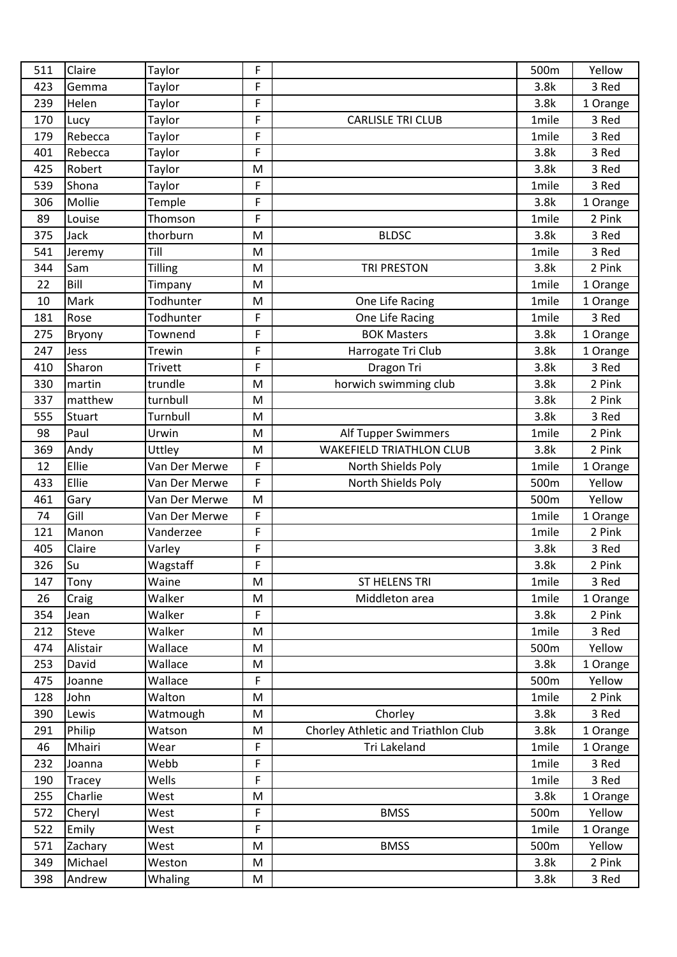| 511 | Claire        | Taylor        | F |                                     | 500m  | Yellow   |
|-----|---------------|---------------|---|-------------------------------------|-------|----------|
| 423 | Gemma         | Taylor        | F |                                     | 3.8k  | 3 Red    |
| 239 | Helen         | Taylor        | F |                                     | 3.8k  | 1 Orange |
| 170 | Lucy          | Taylor        | F | <b>CARLISLE TRI CLUB</b>            | 1mile | 3 Red    |
| 179 | Rebecca       | Taylor        | F |                                     | 1mile | 3 Red    |
| 401 | Rebecca       | Taylor        | F |                                     | 3.8k  | 3 Red    |
| 425 | Robert        | Taylor        | M |                                     | 3.8k  | 3 Red    |
| 539 | Shona         | Taylor        | F |                                     | 1mile | 3 Red    |
| 306 | Mollie        | Temple        | F |                                     | 3.8k  | 1 Orange |
| 89  | Louise        | Thomson       | F |                                     | 1mile | 2 Pink   |
| 375 | Jack          | thorburn      | M | <b>BLDSC</b>                        | 3.8k  | 3 Red    |
| 541 | Jeremy        | Till          | M |                                     | 1mile | 3 Red    |
| 344 | Sam           | Tilling       | M | <b>TRI PRESTON</b>                  | 3.8k  | 2 Pink   |
| 22  | Bill          | Timpany       | M |                                     | 1mile | 1 Orange |
| 10  | Mark          | Todhunter     | M | One Life Racing                     | 1mile | 1 Orange |
| 181 | Rose          | Todhunter     | F | One Life Racing                     | 1mile | 3 Red    |
| 275 | Bryony        | Townend       | F | <b>BOK Masters</b>                  | 3.8k  | 1 Orange |
| 247 | Jess          | Trewin        | F | Harrogate Tri Club                  | 3.8k  | 1 Orange |
| 410 | Sharon        | Trivett       | F | Dragon Tri                          | 3.8k  | 3 Red    |
| 330 | martin        | trundle       | M | horwich swimming club               | 3.8k  | 2 Pink   |
| 337 | matthew       | turnbull      | M |                                     | 3.8k  | 2 Pink   |
| 555 | <b>Stuart</b> | Turnbull      | M |                                     | 3.8k  | 3 Red    |
| 98  | Paul          | Urwin         | M | Alf Tupper Swimmers                 | 1mile | 2 Pink   |
| 369 | Andy          | Uttley        | M | <b>WAKEFIELD TRIATHLON CLUB</b>     | 3.8k  | 2 Pink   |
| 12  | Ellie         | Van Der Merwe | F | North Shields Poly                  | 1mile | 1 Orange |
| 433 | Ellie         | Van Der Merwe | F | North Shields Poly                  | 500m  | Yellow   |
| 461 | Gary          | Van Der Merwe | M |                                     | 500m  | Yellow   |
| 74  | Gill          | Van Der Merwe | F |                                     | 1mile | 1 Orange |
| 121 | Manon         | Vanderzee     | F |                                     | 1mile | 2 Pink   |
| 405 | Claire        | Varley        | F |                                     | 3.8k  | 3 Red    |
| 326 | lsu           | Wagstaff      | F |                                     | 3.8k  | 2 Pink   |
| 147 | Tony          | Waine         | M | <b>ST HELENS TRI</b>                | 1mile | 3 Red    |
| 26  | Craig         | Walker        | M | Middleton area                      | 1mile | 1 Orange |
| 354 | Jean          | Walker        | F |                                     | 3.8k  | 2 Pink   |
| 212 | Steve         | Walker        | M |                                     | 1mile | 3 Red    |
| 474 | Alistair      | Wallace       | M |                                     | 500m  | Yellow   |
| 253 | David         | Wallace       | M |                                     | 3.8k  | 1 Orange |
| 475 | Joanne        | Wallace       | F |                                     | 500m  | Yellow   |
| 128 | John          | Walton        | M |                                     | 1mile | 2 Pink   |
| 390 | Lewis         | Watmough      | M | Chorley                             | 3.8k  | 3 Red    |
| 291 | Philip        | Watson        | M | Chorley Athletic and Triathlon Club | 3.8k  | 1 Orange |
| 46  | Mhairi        | Wear          | F | Tri Lakeland                        | 1mile | 1 Orange |
| 232 | Joanna        | Webb          | F |                                     | 1mile | 3 Red    |
| 190 | Tracey        | Wells         | F |                                     | 1mile | 3 Red    |
| 255 | Charlie       | West          | M |                                     | 3.8k  | 1 Orange |
| 572 | Cheryl        | West          | F | <b>BMSS</b>                         | 500m  | Yellow   |
| 522 | Emily         | West          | F |                                     | 1mile | 1 Orange |
| 571 | Zachary       | West          | M | <b>BMSS</b>                         | 500m  | Yellow   |
| 349 | Michael       | Weston        | M |                                     | 3.8k  | 2 Pink   |
| 398 | Andrew        | Whaling       | M |                                     | 3.8k  | 3 Red    |